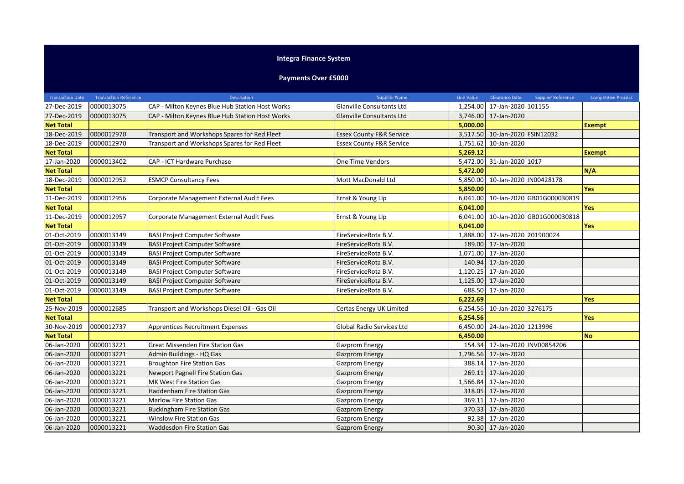## **Integra Finance System**

## **Payments Over £5000**

| <b>Transaction Date</b> | <b>Transaction Reference</b> | Description                                     | <b>Supplier Name</b>                | Line Value | <b>Clearance Date</b> | <b>Supplier Reference</b>  | <b>Competitive Process</b> |
|-------------------------|------------------------------|-------------------------------------------------|-------------------------------------|------------|-----------------------|----------------------------|----------------------------|
| 27-Dec-2019             | 0000013075                   | CAP - Milton Keynes Blue Hub Station Host Works | Glanville Consultants Ltd           | 1,254.00   | 17-Jan-2020 101155    |                            |                            |
| 27-Dec-2019             | 0000013075                   | CAP - Milton Keynes Blue Hub Station Host Works | Glanville Consultants Ltd           | 3,746.00   | 17-Jan-2020           |                            |                            |
| <b>Net Total</b>        |                              |                                                 |                                     | 5,000.00   |                       |                            | <b>Exempt</b>              |
| 18-Dec-2019             | 0000012970                   | Transport and Workshops Spares for Red Fleet    | <b>Essex County F&amp;R Service</b> | 3,517.50   | 10-Jan-2020 FSIN12032 |                            |                            |
| 18-Dec-2019             | 0000012970                   | Transport and Workshops Spares for Red Fleet    | <b>Essex County F&amp;R Service</b> | 1,751.62   | 10-Jan-2020           |                            |                            |
| <b>Net Total</b>        |                              |                                                 |                                     | 5,269.12   |                       |                            | <b>Exempt</b>              |
| 17-Jan-2020             | 0000013402                   | CAP - ICT Hardware Purchase                     | One Time Vendors                    | 5,472.00   | 31-Jan-2020 1017      |                            |                            |
| <b>Net Total</b>        |                              |                                                 |                                     | 5,472.00   |                       |                            | N/A                        |
| 18-Dec-2019             | 0000012952                   | <b>ESMCP Consultancy Fees</b>                   | Mott MacDonald Ltd                  | 5,850.00   |                       | 10-Jan-2020 IN00428178     |                            |
| <b>Net Total</b>        |                              |                                                 |                                     | 5,850.00   |                       |                            | <b>Yes</b>                 |
| 11-Dec-2019             | 0000012956                   | Corporate Management External Audit Fees        | Ernst & Young Llp                   | 6,041.00   |                       | 10-Jan-2020 GB01G000030819 |                            |
| <b>Net Total</b>        |                              |                                                 |                                     | 6,041.00   |                       |                            | <b>Yes</b>                 |
| 11-Dec-2019             | 0000012957                   | Corporate Management External Audit Fees        | Ernst & Young Llp                   | 6,041.00   |                       | 10-Jan-2020 GB01G000030818 |                            |
| <b>Net Total</b>        |                              |                                                 |                                     | 6,041.00   |                       |                            | Yes                        |
| 01-Oct-2019             | 0000013149                   | <b>BASI Project Computer Software</b>           | FireServiceRota B.V.                | 1,888.00   | 17-Jan-2020 201900024 |                            |                            |
| 01-Oct-2019             | 0000013149                   | <b>BASI Project Computer Software</b>           | FireServiceRota B.V.                | 189.00     | 17-Jan-2020           |                            |                            |
| 01-Oct-2019             | 0000013149                   | <b>BASI Project Computer Software</b>           | FireServiceRota B.V.                | 1,071.00   | 17-Jan-2020           |                            |                            |
| 01-Oct-2019             | 0000013149                   | <b>BASI Project Computer Software</b>           | FireServiceRota B.V.                | 140.94     | 17-Jan-2020           |                            |                            |
| 01-Oct-2019             | 0000013149                   | <b>BASI Project Computer Software</b>           | FireServiceRota B.V.                | 1,120.25   | 17-Jan-2020           |                            |                            |
| 01-Oct-2019             | 0000013149                   | <b>BASI Project Computer Software</b>           | FireServiceRota B.V.                | 1,125.00   | 17-Jan-2020           |                            |                            |
| 01-Oct-2019             | 0000013149                   | <b>BASI Project Computer Software</b>           | FireServiceRota B.V.                | 688.50     | 17-Jan-2020           |                            |                            |
| <b>Net Total</b>        |                              |                                                 |                                     | 6,222.69   |                       |                            | <b>Yes</b>                 |
| 25-Nov-2019             | 0000012685                   | Transport and Workshops Diesel Oil - Gas Oil    | Certas Energy UK Limited            | 6,254.56   | 10-Jan-2020 3276175   |                            |                            |
| <b>Net Total</b>        |                              |                                                 |                                     | 6,254.56   |                       |                            | Yes                        |
| 30-Nov-2019             | 0000012737                   | <b>Apprentices Recruitment Expenses</b>         | Global Radio Services Ltd           | 6,450.00   | 24-Jan-2020 1213996   |                            |                            |
| <b>Net Total</b>        |                              |                                                 |                                     | 6,450.00   |                       |                            | <b>No</b>                  |
| 06-Jan-2020             | 0000013221                   | <b>Great Missenden Fire Station Gas</b>         | Gazprom Energy                      | 154.34     |                       | 17-Jan-2020 INV00854206    |                            |
| 06-Jan-2020             | 0000013221                   | Admin Buildings - HQ Gas                        | <b>Gazprom Energy</b>               | 1,796.56   | 17-Jan-2020           |                            |                            |
| 06-Jan-2020             | 0000013221                   | <b>Broughton Fire Station Gas</b>               | Gazprom Energy                      | 388.14     | 17-Jan-2020           |                            |                            |
| 06-Jan-2020             | 0000013221                   | <b>Newport Pagnell Fire Station Gas</b>         | <b>Gazprom Energy</b>               | 269.11     | 17-Jan-2020           |                            |                            |
| 06-Jan-2020             | 0000013221                   | MK West Fire Station Gas                        | Gazprom Energy                      | 1,566.84   | 17-Jan-2020           |                            |                            |
| 06-Jan-2020             | 0000013221                   | <b>Haddenham Fire Station Gas</b>               | Gazprom Energy                      | 318.05     | 17-Jan-2020           |                            |                            |
| 06-Jan-2020             | 0000013221                   | <b>Marlow Fire Station Gas</b>                  | Gazprom Energy                      | 369.11     | 17-Jan-2020           |                            |                            |
| 06-Jan-2020             | 0000013221                   | <b>Buckingham Fire Station Gas</b>              | Gazprom Energy                      | 370.33     | 17-Jan-2020           |                            |                            |
| 06-Jan-2020             | 0000013221                   | <b>Winslow Fire Station Gas</b>                 | Gazprom Energy                      | 92.38      | 17-Jan-2020           |                            |                            |
| 06-Jan-2020             | 0000013221                   | <b>Waddesdon Fire Station Gas</b>               | Gazprom Energy                      |            | 90.30 17-Jan-2020     |                            |                            |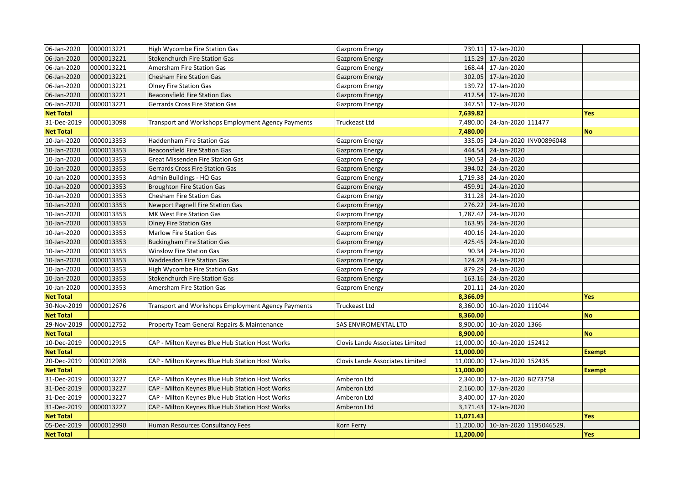| 06-Jan-2020      | 0000013221 | High Wycombe Fire Station Gas                      | Gazprom Energy                  |           | 739.11 17-Jan-2020                |                         |               |
|------------------|------------|----------------------------------------------------|---------------------------------|-----------|-----------------------------------|-------------------------|---------------|
| 06-Jan-2020      | 0000013221 | <b>Stokenchurch Fire Station Gas</b>               | <b>Gazprom Energy</b>           |           | 115.29 17-Jan-2020                |                         |               |
| 06-Jan-2020      | 0000013221 | Amersham Fire Station Gas                          | Gazprom Energy                  |           | 168.44 17-Jan-2020                |                         |               |
| 06-Jan-2020      | 0000013221 | Chesham Fire Station Gas                           | Gazprom Energy                  |           | 302.05 17-Jan-2020                |                         |               |
| 06-Jan-2020      | 0000013221 | <b>Olney Fire Station Gas</b>                      | Gazprom Energy                  |           | 139.72 17-Jan-2020                |                         |               |
| 06-Jan-2020      | 0000013221 | <b>Beaconsfield Fire Station Gas</b>               | <b>Gazprom Energy</b>           |           | 412.54 17-Jan-2020                |                         |               |
| 06-Jan-2020      | 0000013221 | Gerrards Cross Fire Station Gas                    | Gazprom Energy                  |           | 347.51 17-Jan-2020                |                         |               |
| <b>Net Total</b> |            |                                                    |                                 | 7,639.82  |                                   |                         | Yes           |
| 31-Dec-2019      | 0000013098 | Transport and Workshops Employment Agency Payments | Truckeast Ltd                   |           | 7,480.00 24-Jan-2020 111477       |                         |               |
| <b>Net Total</b> |            |                                                    |                                 | 7,480.00  |                                   |                         | No            |
| 10-Jan-2020      | 0000013353 | <b>Haddenham Fire Station Gas</b>                  | Gazprom Energy                  | 335.05    |                                   | 24-Jan-2020 INV00896048 |               |
| 10-Jan-2020      | 0000013353 | <b>Beaconsfield Fire Station Gas</b>               | Gazprom Energy                  |           | 444.54 24-Jan-2020                |                         |               |
| 10-Jan-2020      | 0000013353 | Great Missenden Fire Station Gas                   | Gazprom Energy                  |           | 190.53 24-Jan-2020                |                         |               |
| 10-Jan-2020      | 0000013353 | Gerrards Cross Fire Station Gas                    | <b>Gazprom Energy</b>           |           | 394.02 24-Jan-2020                |                         |               |
| 10-Jan-2020      | 0000013353 | Admin Buildings - HQ Gas                           | Gazprom Energy                  |           | 1,719.38 24-Jan-2020              |                         |               |
| 10-Jan-2020      | 0000013353 | <b>Broughton Fire Station Gas</b>                  | <b>Gazprom Energy</b>           |           | 459.91 24-Jan-2020                |                         |               |
| 10-Jan-2020      | 0000013353 | Chesham Fire Station Gas                           | Gazprom Energy                  |           | 311.28 24-Jan-2020                |                         |               |
| 10-Jan-2020      | 0000013353 | <b>Newport Pagnell Fire Station Gas</b>            | Gazprom Energy                  |           | 276.22 24-Jan-2020                |                         |               |
| 10-Jan-2020      | 0000013353 | MK West Fire Station Gas                           | Gazprom Energy                  |           | 1,787.42 24-Jan-2020              |                         |               |
| 10-Jan-2020      | 0000013353 | <b>Olney Fire Station Gas</b>                      | <b>Gazprom Energy</b>           |           | 163.95 24-Jan-2020                |                         |               |
| 10-Jan-2020      | 0000013353 | Marlow Fire Station Gas                            | Gazprom Energy                  |           | 400.16 24-Jan-2020                |                         |               |
| 10-Jan-2020      | 0000013353 | <b>Buckingham Fire Station Gas</b>                 | Gazprom Energy                  |           | 425.45 24-Jan-2020                |                         |               |
| 10-Jan-2020      | 0000013353 | <b>Winslow Fire Station Gas</b>                    | Gazprom Energy                  |           | 90.34 24-Jan-2020                 |                         |               |
| 10-Jan-2020      | 0000013353 | <b>Waddesdon Fire Station Gas</b>                  | Gazprom Energy                  |           | 124.28 24-Jan-2020                |                         |               |
| 10-Jan-2020      | 0000013353 | High Wycombe Fire Station Gas                      | Gazprom Energy                  |           | 879.29 24-Jan-2020                |                         |               |
| 10-Jan-2020      | 0000013353 | <b>Stokenchurch Fire Station Gas</b>               | Gazprom Energy                  |           | 163.16 24-Jan-2020                |                         |               |
| 10-Jan-2020      | 0000013353 | Amersham Fire Station Gas                          | Gazprom Energy                  |           | 201.11 24-Jan-2020                |                         |               |
| <b>Net Total</b> |            |                                                    |                                 | 8,366.09  |                                   |                         | Yes           |
| 30-Nov-2019      | 0000012676 | Transport and Workshops Employment Agency Payments | Truckeast Ltd                   |           | 8,360.00 10-Jan-2020 111044       |                         |               |
| <b>Net Total</b> |            |                                                    |                                 | 8,360.00  |                                   |                         | No            |
| 29-Nov-2019      | 0000012752 | Property Team General Repairs & Maintenance        | SAS ENVIROMENTAL LTD            |           | 8,900.00 10-Jan-2020 1366         |                         |               |
| <b>Net Total</b> |            |                                                    |                                 | 8,900.00  |                                   |                         | No            |
| 10-Dec-2019      | 0000012915 | CAP - Milton Keynes Blue Hub Station Host Works    | Clovis Lande Associates Limited |           | 11,000.00 10-Jan-2020 152412      |                         |               |
| <b>Net Total</b> |            |                                                    |                                 | 11,000.00 |                                   |                         | <b>Exempt</b> |
| 20-Dec-2019      | 0000012988 | CAP - Milton Keynes Blue Hub Station Host Works    | Clovis Lande Associates Limited |           | 11,000.00 17-Jan-2020 152435      |                         |               |
| <b>Net Total</b> |            |                                                    |                                 | 11,000.00 |                                   |                         | <b>Exempt</b> |
| 31-Dec-2019      | 0000013227 | CAP - Milton Keynes Blue Hub Station Host Works    | Amberon Ltd                     |           | 2,340.00 17-Jan-2020 BI273758     |                         |               |
| 31-Dec-2019      | 0000013227 | CAP - Milton Keynes Blue Hub Station Host Works    | Amberon Ltd                     |           | 2,160.00 17-Jan-2020              |                         |               |
| 31-Dec-2019      | 0000013227 | CAP - Milton Keynes Blue Hub Station Host Works    | Amberon Ltd                     |           | 3,400.00 17-Jan-2020              |                         |               |
| 31-Dec-2019      | 0000013227 | CAP - Milton Keynes Blue Hub Station Host Works    | Amberon Ltd                     |           | 3,171.43 17-Jan-2020              |                         |               |
| <b>Net Total</b> |            |                                                    |                                 | 11,071.43 |                                   |                         | Yes           |
| 05-Dec-2019      | 0000012990 | Human Resources Consultancy Fees                   | Korn Ferry                      |           | 11,200.00 10-Jan-2020 1195046529. |                         |               |
| <b>Net Total</b> |            |                                                    |                                 | 11,200.00 |                                   |                         | Yes           |